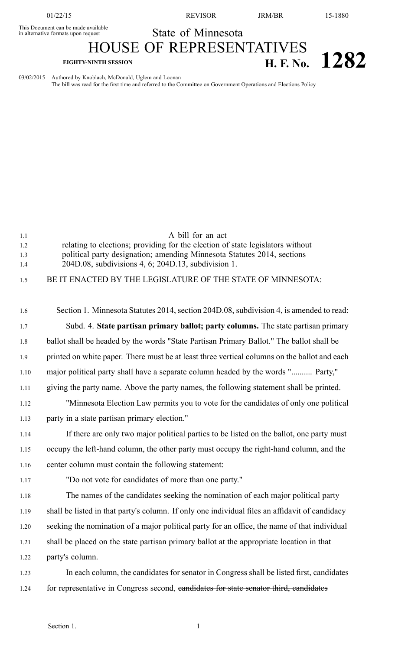01/22/15 REVISOR JRM/BR 15-1880

This Document can be made available

State of Minnesota

## HOUSE OF REPRESENTATIVES **EIGHTY-NINTH SESSION H. F. No. 1282**

03/02/2015 Authored by Knoblach, McDonald, Uglem and Loonan

The bill was read for the first time and referred to the Committee on Government Operations and Elections Policy

| 1.1        | A bill for an act                                                                                                                                         |
|------------|-----------------------------------------------------------------------------------------------------------------------------------------------------------|
| 1.2<br>1.3 | relating to elections; providing for the election of state legislators without<br>political party designation; amending Minnesota Statutes 2014, sections |
| 1.4        | 204D.08, subdivisions 4, 6; 204D.13, subdivision 1.                                                                                                       |
| 1.5        | BE IT ENACTED BY THE LEGISLATURE OF THE STATE OF MINNESOTA:                                                                                               |
|            |                                                                                                                                                           |
| 1.6        | Section 1. Minnesota Statutes 2014, section 204D.08, subdivision 4, is amended to read:                                                                   |
| 1.7        | Subd. 4. State partisan primary ballot; party columns. The state partisan primary                                                                         |
| 1.8        | ballot shall be headed by the words "State Partisan Primary Ballot." The ballot shall be                                                                  |
| 1.9        | printed on white paper. There must be at least three vertical columns on the ballot and each                                                              |
| 1.10       | major political party shall have a separate column headed by the words " Party,"                                                                          |
| 1.11       | giving the party name. Above the party names, the following statement shall be printed.                                                                   |
| 1.12       | "Minnesota Election Law permits you to vote for the candidates of only one political                                                                      |
| 1.13       | party in a state partisan primary election."                                                                                                              |
| 1.14       | If there are only two major political parties to be listed on the ballot, one party must                                                                  |
| 1.15       | occupy the left-hand column, the other party must occupy the right-hand column, and the                                                                   |
| 1.16       | center column must contain the following statement:                                                                                                       |
| 1.17       | "Do not vote for candidates of more than one party."                                                                                                      |
| 1.18       | The names of the candidates seeking the nomination of each major political party                                                                          |
| 1.19       | shall be listed in that party's column. If only one individual files an affidavit of candidacy                                                            |
| 1.20       | seeking the nomination of a major political party for an office, the name of that individual                                                              |
| 1.21       | shall be placed on the state partisan primary ballot at the appropriate location in that                                                                  |
| 1.22       | party's column.                                                                                                                                           |
| 1.23       | In each column, the candidates for senator in Congress shall be listed first, candidates                                                                  |
| 1.24       | for representative in Congress second, eandidates for state senator third, candidates                                                                     |
|            |                                                                                                                                                           |